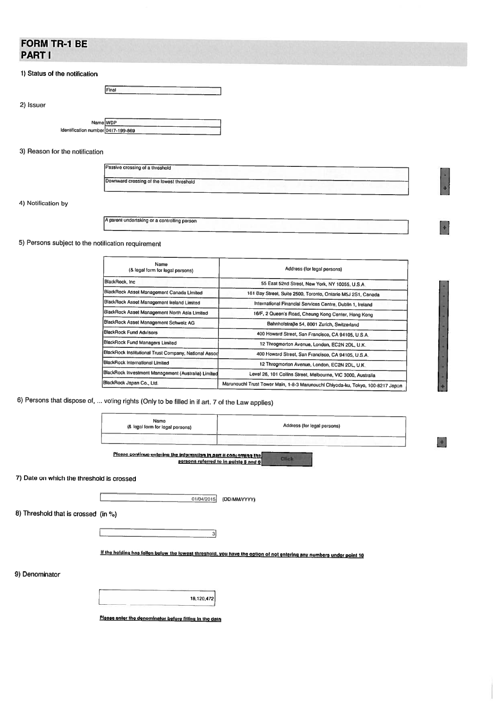# **FORM TR-1 BE PART I**

## 1) Status of the notification

2) Issuer

| <b>Name WDP</b> |  |  |
|-----------------|--|--|
|                 |  |  |

Final

Identification number 0417-199-869

## 3) Reason for the notification

| Passive crossing of a threshold           |  |
|-------------------------------------------|--|
| Downward crossing of the lowest threshold |  |

¥

4) Notification by

A parent undertaking or a controlling person

## 5) Persons subject to the notification requirement

| Name<br>(& legal form for legal persons)              | Address (for legal persons)                                                     |  |  |  |
|-------------------------------------------------------|---------------------------------------------------------------------------------|--|--|--|
| BlackRock, Inc.                                       | 55 East 52nd Street, New York, NY 10055, U.S.A.                                 |  |  |  |
| BlackRock Asset Management Canada Limited             | 161 Bay Street, Suite 2500, Toronto, Ontario M5J 2S1, Canada                    |  |  |  |
| BlackRock Asset Management Ireland Limited            | International Financial Services Centre, Dublin 1, Ireland                      |  |  |  |
| BlackRock Asset Management North Asla Limited         | 16/F, 2 Queen's Road, Cheung Kong Center, Hong Kong                             |  |  |  |
| BlackRock Asset Management Schweiz AG                 | Bahnhofstraße 54, 8001 Zurich, Switzerland                                      |  |  |  |
| <b>BlackRock Fund Advisors</b>                        | 400 Howard Street, San Francisco, CA 94105, U.S.A.                              |  |  |  |
| <b>BlackRock Fund Managers Limited</b>                | 12 Throgmorton Avenue, London, EC2N 2DL, U.K.                                   |  |  |  |
| BlackRock Institutional Trust Company, National Assoc | 400 Howard Street, San Francisco, CA 94105, U.S.A.                              |  |  |  |
| <b>BlackRock International Limited</b>                | 12 Throgmorton Avenue, London, EC2N 2DL, U.K.                                   |  |  |  |
| BlackRock Investment Management (Australia) Limited   | Level 26, 101 Collins Street, Melbourne, VIC 3000, Australia                    |  |  |  |
| BlackRock Japan Co., Ltd.                             | Marunouchi Trust Tower Main, 1-8-3 Marunouchi Chiyoda-ku, Tokyo, 100-8217 Japan |  |  |  |

6) Persons that dispose of, ... voting rights (Only to be filled in if art. 7 of the Law applies)

|                                           | Name<br>(& legal form for legal persons)                           | Address (for legal persons)                                                                                          |   |
|-------------------------------------------|--------------------------------------------------------------------|----------------------------------------------------------------------------------------------------------------------|---|
|                                           |                                                                    |                                                                                                                      | H |
|                                           | Please continue entering the information in part il concerning the | <b>Click</b><br>persons referred to in points 5 and 6                                                                |   |
| 7) Date on which the threshold is crossed |                                                                    |                                                                                                                      |   |
|                                           | 01/04/2015                                                         | (DD/MM/YYYY)                                                                                                         |   |
| 8) Threshold that is crossed (in %)       |                                                                    |                                                                                                                      |   |
|                                           |                                                                    |                                                                                                                      |   |
|                                           |                                                                    | If the holding has fallen below the lowest threshold, you have the option of not entering any numbers under point 10 |   |
| 9) Denominator                            |                                                                    |                                                                                                                      |   |
|                                           | 18,120,472                                                         |                                                                                                                      |   |

Please enter the denominator before filling in the data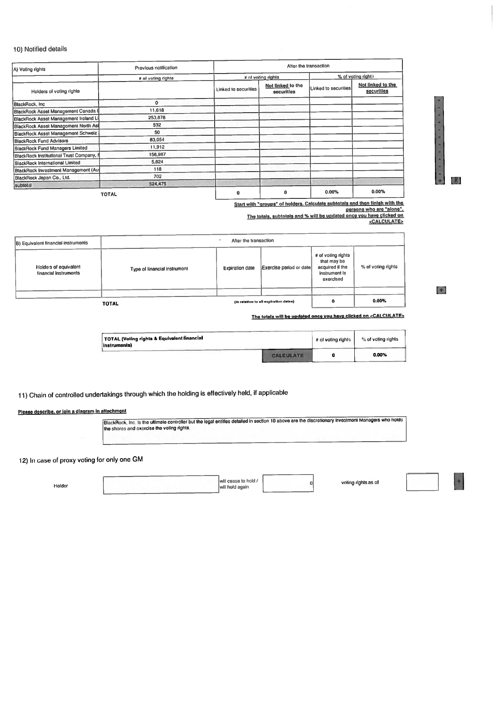#### 10) Notified details

| A) Voting rights                         | Previous notification |                      | After the transaction           |                      |                                 |  |
|------------------------------------------|-----------------------|----------------------|---------------------------------|----------------------|---------------------------------|--|
|                                          | # of voting rights    |                      | # of voting rights              |                      | % of voting rights              |  |
| Holders of voting rights                 |                       | Linked to securities | Not linked to the<br>securities | Linked to securities | Not linked to the<br>securities |  |
| BlackRock, Inc.                          | 0                     |                      |                                 |                      |                                 |  |
| BlackRock Asset Management Canada I      | 11,618                |                      |                                 |                      |                                 |  |
| BlackRock Asset Management Ireland Li    | 253,878               |                      |                                 |                      |                                 |  |
| BlackRock Asset Management North As      | 532                   |                      |                                 |                      |                                 |  |
| BlackRock Asset Management Schweiz       | 50                    |                      |                                 |                      |                                 |  |
| <b>BlackRock Fund Advisors</b>           | 83,054                |                      |                                 |                      |                                 |  |
| <b>BlackRock Fund Managers Limited</b>   | 11,912                |                      |                                 |                      |                                 |  |
| BlackRock Institutional Trust Company, I | 156,987               |                      |                                 |                      |                                 |  |
| <b>BlackRock International Limited</b>   | 5,624                 |                      |                                 |                      |                                 |  |
| BlackRock Investment Management (Au)     | 118                   |                      |                                 |                      |                                 |  |
| BlackRock Japan Co., Ltd.                | 702                   |                      |                                 |                      |                                 |  |
| subtotal                                 | 524,475               |                      |                                 |                      |                                 |  |
| <b>TOTAL</b>                             |                       | o                    | o                               | 0.00%                | 0.00%                           |  |

Start with "groups" of holders. Calculate subtotals and then finish with the

<u>operator with around of the mail that the process with the set of the mail that the set of the set of the set of the set of the set of the set of the set of the set of the set of the set of the set of the set of the set o</u>

| (B) Equivalent financial instruments           | After the transaction        |                        |                                       |                                                                                    |                    |
|------------------------------------------------|------------------------------|------------------------|---------------------------------------|------------------------------------------------------------------------------------|--------------------|
| Holders of equivalent<br>financial instruments | Type of linancial instrument | <b>Expiration date</b> | Exercise period or date               | # of voting rights<br>that may be<br>acquired if the<br>instrument is<br>exercised | % of voting rights |
|                                                |                              |                        |                                       |                                                                                    |                    |
|                                                | <b>TOTAL</b>                 |                        | (in relation to all expiration dates) | o                                                                                  | 0.00%              |

The totals will be updated once you have clicked on <CALCULATE>

| TOTAL (Voting rights & Equivalent financial<br><i>linstruments</i> |  | # of voting rights | % of voting rights |  |
|--------------------------------------------------------------------|--|--------------------|--------------------|--|
|                                                                    |  |                    | 0.00%              |  |

# 11) Chain of controlled undertakings through which the holding is effectively held, if applicable

## Please describe, or join a diagram in attachment

BlackRock, Inc. Is the uttimate controller but the legal entities detailed in section 10 above are the discretionary Investment Managers who holds the shares and exercise the voting rights.

# 12) In case of proxy voting for only one GM

Holder

will cease to hold / will hold again

 $\overline{0}$ 

voting rights as of



Ħ

 $\mathbf{r}$